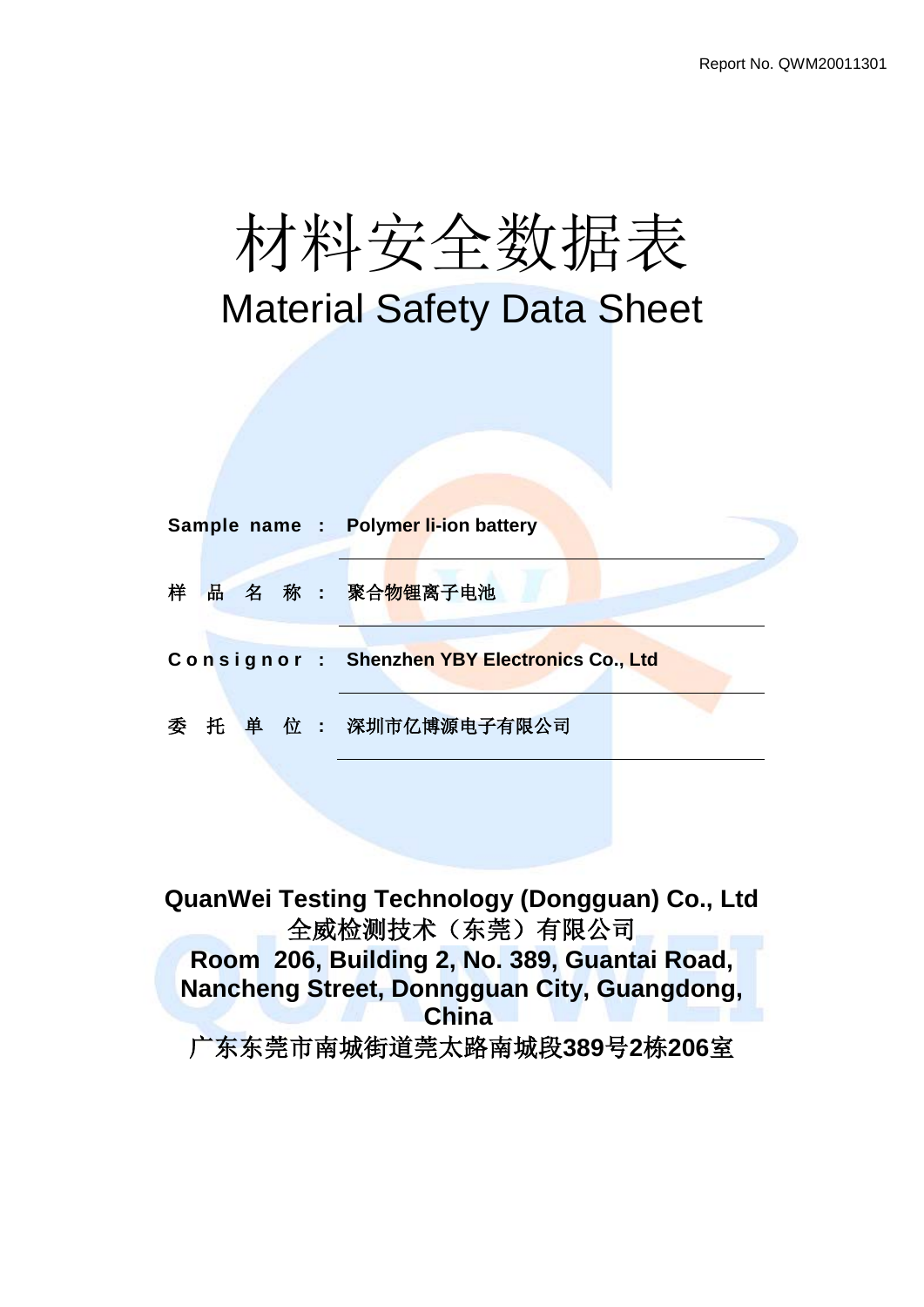

# Material Safety Data Sheet

|   |  |  | Sample name : Polymer li-ion battery         |
|---|--|--|----------------------------------------------|
| 样 |  |  | 品名 称 : 聚合物锂离子电池                              |
|   |  |  | Consignor: Shenzhen YBY Electronics Co., Ltd |
|   |  |  |                                              |

**QuanWei Testing Technology (Dongguan) Co., Ltd** 全威检测技术(东莞)有限公司 **Room 206, Building 2, No. 389, Guantai Road, Nancheng Street, Donngguan City, Guangdong, China** 广东东莞市南城街道莞太路南城段**389**号**2**栋**206**室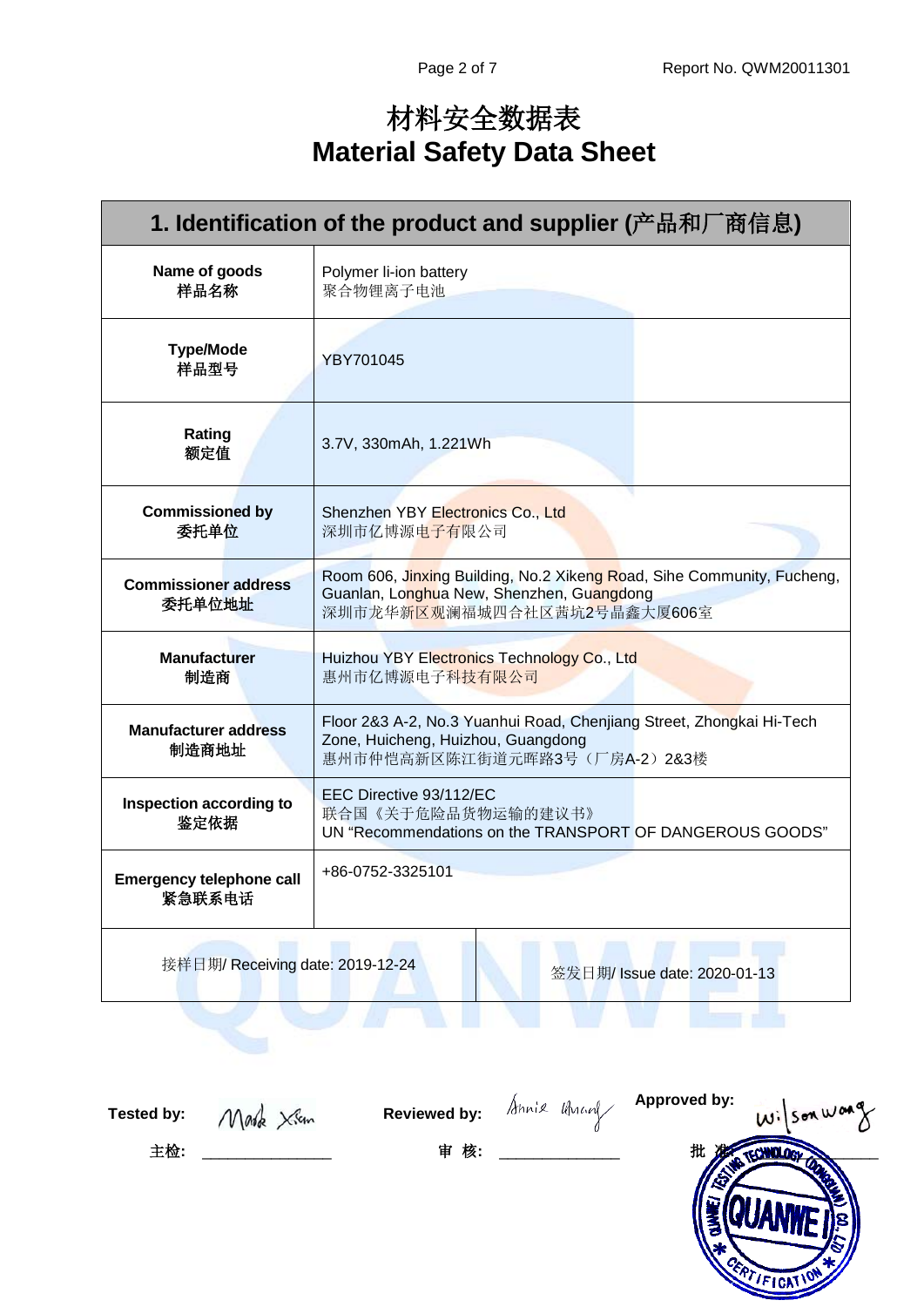# 材料安全数据表 **Material Safety Data Sheet**

| 1. Identification of the product and supplier (产品和厂商信息) |                                                                                                                                                    |  |  |  |
|---------------------------------------------------------|----------------------------------------------------------------------------------------------------------------------------------------------------|--|--|--|
| Name of goods<br>样品名称                                   | Polymer li-ion battery<br>聚合物锂离子电池                                                                                                                 |  |  |  |
| <b>Type/Mode</b><br>样品型号                                | <b>YBY701045</b>                                                                                                                                   |  |  |  |
| Rating<br>额定值                                           | 3.7V, 330mAh, 1.221Wh                                                                                                                              |  |  |  |
| <b>Commissioned by</b><br>委托单位                          | Shenzhen YBY Electronics Co., Ltd<br>深圳市亿博源电子有限公司                                                                                                  |  |  |  |
| <b>Commissioner address</b><br>委托单位地址                   | Room 606, Jinxing Building, No.2 Xikeng Road, Sihe Community, Fucheng,<br>Guanlan, Longhua New, Shenzhen, Guangdong<br>深圳市龙华新区观澜福城四合社区茜坑2号晶鑫大厦606室 |  |  |  |
| <b>Manufacturer</b><br>制造商                              | Huizhou YBY Electronics Technology Co., Ltd<br>惠州市亿博源电子科技有限公司                                                                                      |  |  |  |
| <b>Manufacturer address</b><br>制造商地址                    | Floor 2&3 A-2, No.3 Yuanhui Road, Chenjiang Street, Zhongkai Hi-Tech<br>Zone, Huicheng, Huizhou, Guangdong<br>惠州市仲恺高新区陈江街道元晖路3号 (厂房A-2) 2&3楼       |  |  |  |
| Inspection according to<br>鉴定依据                         | EEC Directive 93/112/EC<br>联合国《关于危险品货物运输的建议书》<br>UN "Recommendations on the TRANSPORT OF DANGEROUS GOODS"                                          |  |  |  |
| <b>Emergency telephone call</b><br>紧急联系电话               | +86-0752-3325101                                                                                                                                   |  |  |  |
| 接样日期/ Receiving date: 2019-12-24                        | 签发日期/ Issue date: 2020-01-13                                                                                                                       |  |  |  |
|                                                         |                                                                                                                                                    |  |  |  |

**Tested by: Reviewed by:**

**Approved by:**

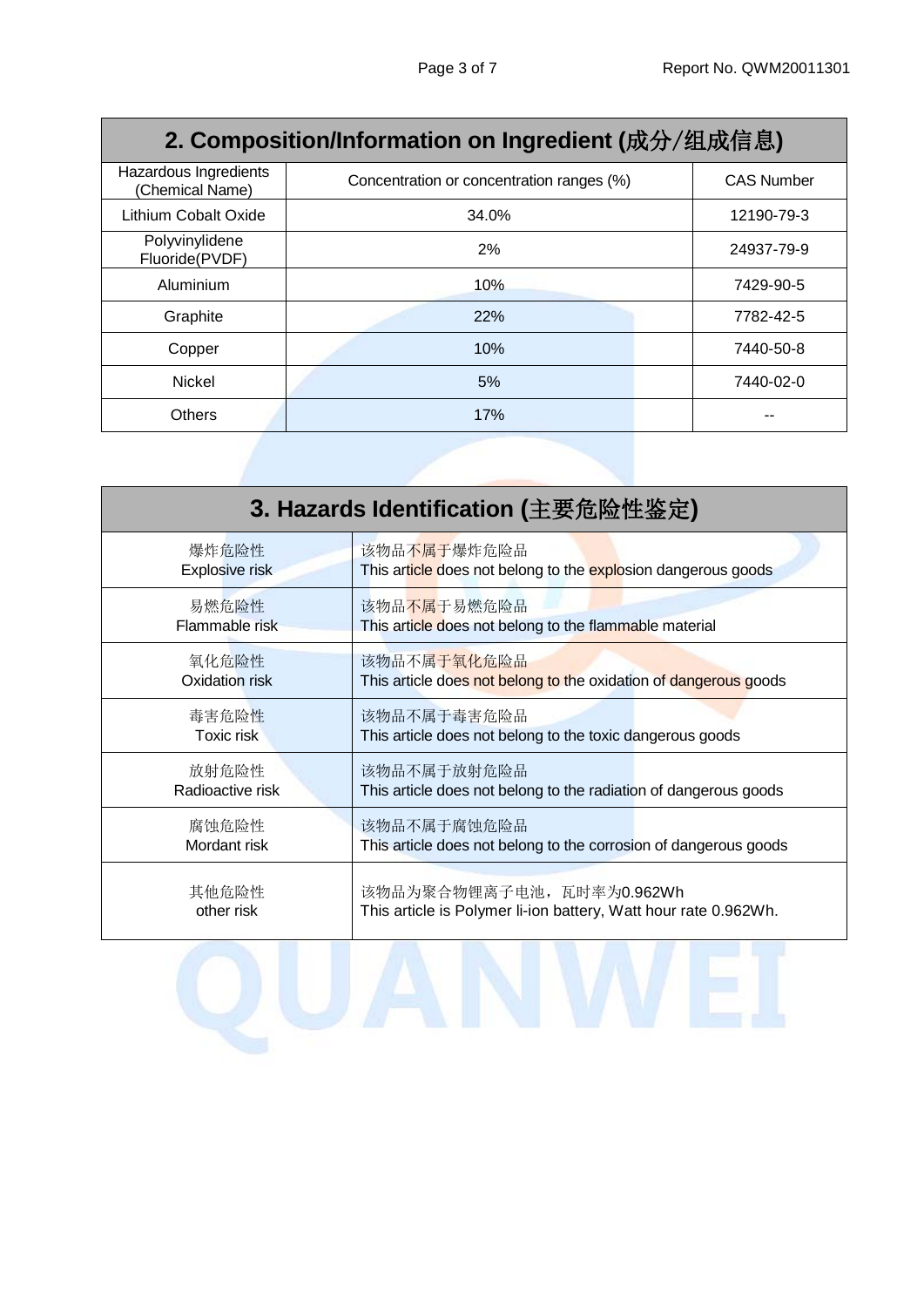| 2. Composition/Information on Ingredient (成分/组成信息) |                                           |                   |  |  |  |
|----------------------------------------------------|-------------------------------------------|-------------------|--|--|--|
| Hazardous Ingredients<br>(Chemical Name)           | Concentration or concentration ranges (%) | <b>CAS Number</b> |  |  |  |
| Lithium Cobalt Oxide                               | 34.0%                                     | 12190-79-3        |  |  |  |
| Polyvinylidene<br>Fluoride(PVDF)                   | 2%                                        | 24937-79-9        |  |  |  |
| Aluminium                                          | 10%                                       | 7429-90-5         |  |  |  |
| Graphite                                           | 22%                                       | 7782-42-5         |  |  |  |
| Copper                                             | 10%                                       | 7440-50-8         |  |  |  |
| <b>Nickel</b>                                      | 5%                                        | 7440-02-0         |  |  |  |
| Others                                             | 17%                                       |                   |  |  |  |

| 3. Hazards Identification (主要危险性鉴定) |                                                                  |  |  |  |
|-------------------------------------|------------------------------------------------------------------|--|--|--|
| 爆炸危险性                               | 该物品不属于爆炸危险品                                                      |  |  |  |
| Explosive risk                      | This article does not belong to the explosion dangerous goods    |  |  |  |
| 易燃危险性                               | 该物品不属于易燃危险品                                                      |  |  |  |
| Flammable risk                      | This article does not belong to the flammable material           |  |  |  |
| 氧化危险性                               | 该物品不属于氧化危险品                                                      |  |  |  |
| Oxidation risk                      | This article does not belong to the oxidation of dangerous goods |  |  |  |
| 毒害危险性                               | 该物品不属于毒害危险品                                                      |  |  |  |
| Toxic risk                          | This article does not belong to the toxic dangerous goods        |  |  |  |
| 放射危险性                               | 该物品不属于放射危险品                                                      |  |  |  |
| Radioactive risk                    | This article does not belong to the radiation of dangerous goods |  |  |  |
| 腐蚀危险性                               | 该物品不属于腐蚀危险品                                                      |  |  |  |
| Mordant risk                        | This article does not belong to the corrosion of dangerous goods |  |  |  |
| 其他危险性                               | 该物品为聚合物锂离子电池, 瓦时率为0.962Wh                                        |  |  |  |
| other risk                          | This article is Polymer li-ion battery, Watt hour rate 0.962Wh.  |  |  |  |
|                                     |                                                                  |  |  |  |
|                                     |                                                                  |  |  |  |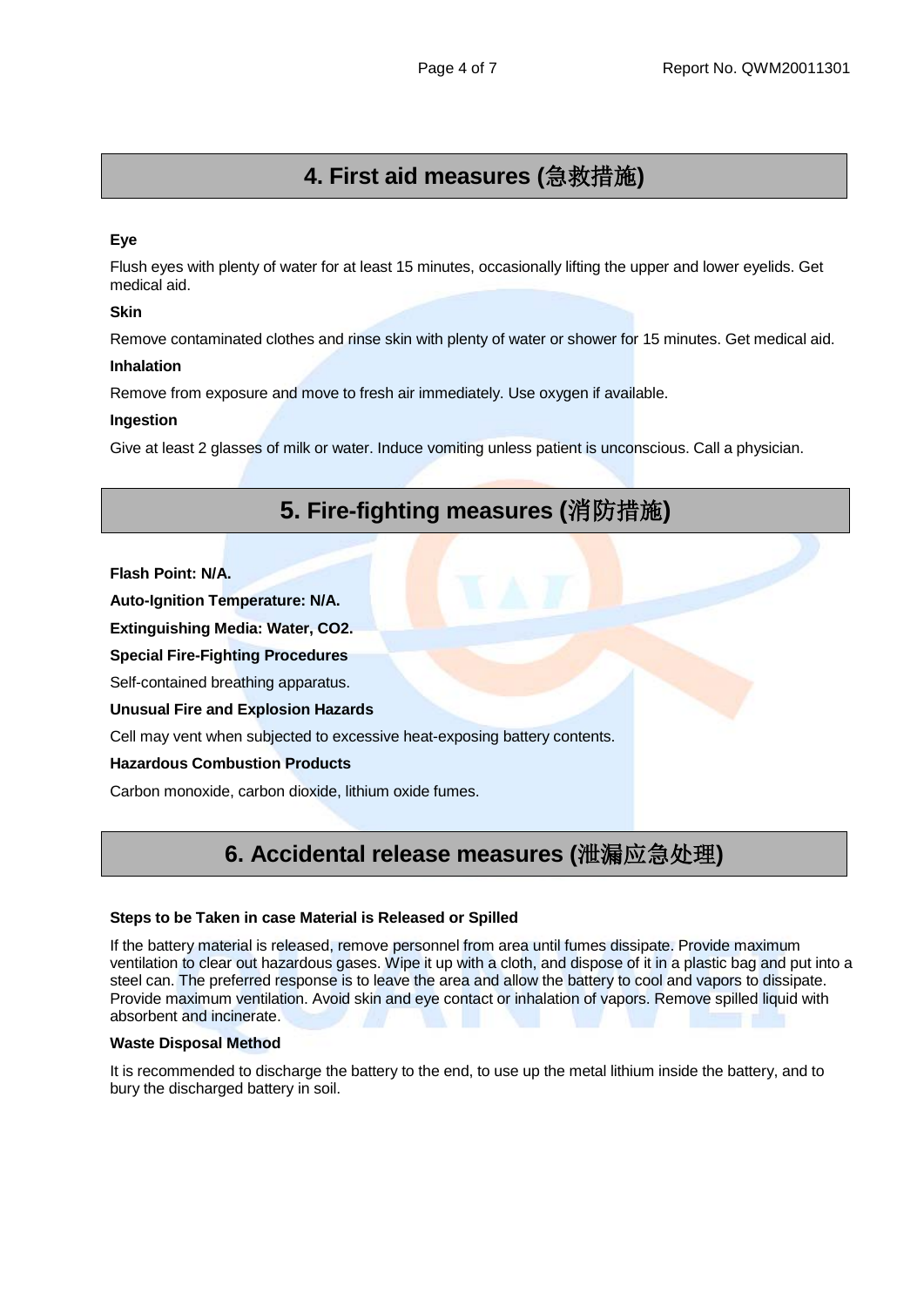# **4. First aid measures (**急救措施**)**

#### **Eye**

Flush eyes with plenty of water for at least 15 minutes, occasionally lifting the upper and lower eyelids. Get medical aid.

#### **Skin**

Remove contaminated clothes and rinse skin with plenty of water or shower for 15 minutes. Get medical aid.

#### **Inhalation**

Remove from exposure and move to fresh air immediately. Use oxygen if available.

#### **Ingestion**

Give at least 2 glasses of milk or water. Induce vomiting unless patient is unconscious. Call a physician.

## **5. Fire-fighting measures (**消防措施**)**

#### **Flash Point: N/A.**

**Auto-Ignition Temperature: N/A.**

**Extinguishing Media: Water, CO2.**

**Special Fire-Fighting Procedures**

Self-contained breathing apparatus.

#### **Unusual Fire and Explosion Hazards**

Cell may vent when subjected to excessive heat-exposing battery contents.

#### **Hazardous Combustion Products**

Carbon monoxide, carbon dioxide, lithium oxide fumes.

### **6. Accidental release measures (**泄漏应急处理**)**

#### **Steps to be Taken in case Material is Released or Spilled**

If the battery material is released, remove personnel from area until fumes dissipate. Provide maximum ventilation to clear out hazardous gases. Wipe it up with a cloth, and dispose of it in a plastic bag and put into a steel can. The preferred response is to leave the area and allow the battery to cool and vapors to dissipate. Provide maximum ventilation. Avoid skin and eye contact or inhalation of vapors. Remove spilled liquid with absorbent and incinerate.

#### **Waste Disposal Method**

It is recommended to discharge the battery to the end, to use up the metal lithium inside the battery, and to bury the discharged battery in soil.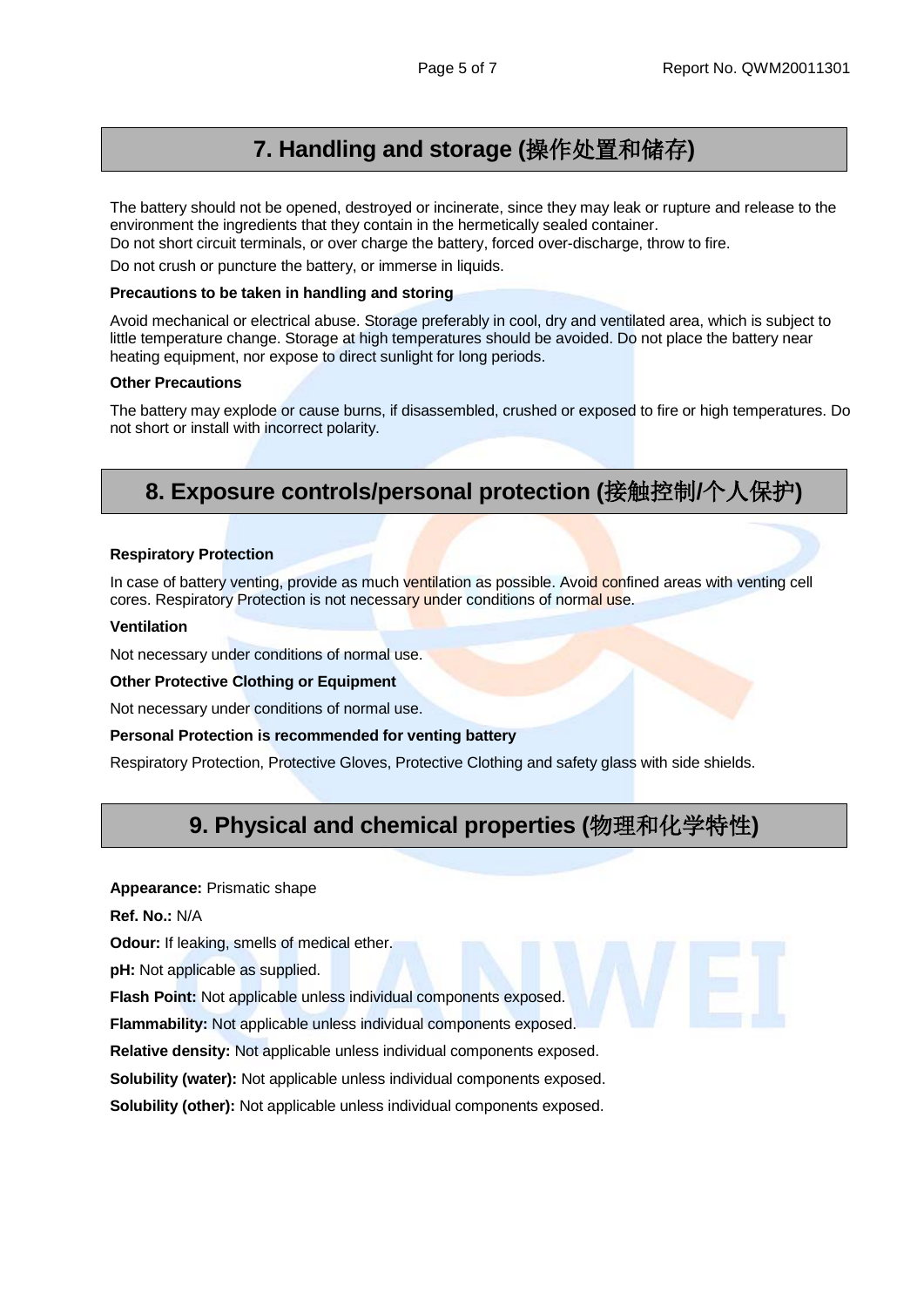### **7. Handling and storage (**操作处置和储存**)**

The battery should not be opened, destroyed or incinerate, since they may leak or rupture and release to the environment the ingredients that they contain in the hermetically sealed container.

Do not short circuit terminals, or over charge the battery, forced over-discharge, throw to fire.

Do not crush or puncture the battery, or immerse in liquids.

#### **Precautions to be taken in handling and storing**

Avoid mechanical or electrical abuse. Storage preferably in cool, dry and ventilated area, which is subject to little temperature change. Storage at high temperatures should be avoided. Do not place the battery near heating equipment, nor expose to direct sunlight for long periods.

#### **Other Precautions**

The battery may explode or cause burns, if disassembled, crushed or exposed to fire or high temperatures. Do not short or install with incorrect polarity.

### **8. Exposure controls/personal protection (**接触控制**/**个人保护**)**

#### **Respiratory Protection**

In case of battery venting, provide as much ventilation as possible. Avoid confined areas with venting cell cores. Respiratory Protection is not necessary under conditions of normal use.

#### **Ventilation**

Not necessary under conditions of normal use.

#### **Other Protective Clothing or Equipment**

Not necessary under conditions of normal use.

#### **Personal Protection is recommended for venting battery**

Respiratory Protection, Protective Gloves, Protective Clothing and safety glass with side shields.

### **9. Physical and chemical properties (**物理和化学特性**)**

#### **Appearance:** Prismatic shape

**Ref. No.:** N/A

**Odour:** If leaking, smells of medical ether.

**pH:** Not applicable as supplied.

**Flash Point:** Not applicable unless individual components exposed.

**Flammability:** Not applicable unless individual components exposed.

**Relative density:** Not applicable unless individual components exposed.

**Solubility (water):** Not applicable unless individual components exposed.

**Solubility (other):** Not applicable unless individual components exposed.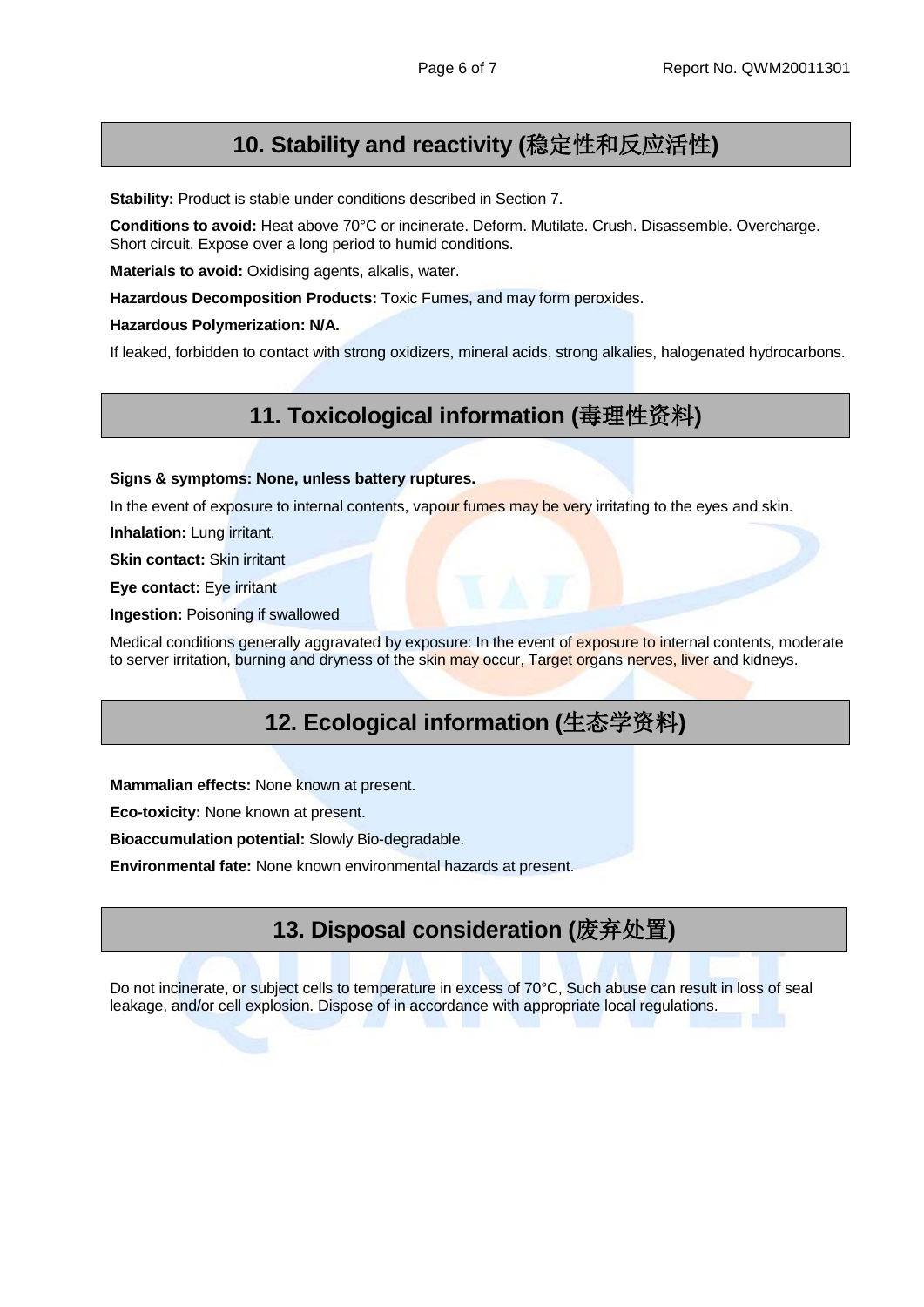### **10. Stability and reactivity (**稳定性和反应活性**)**

**Stability:** Product is stable under conditions described in Section 7.

**Conditions to avoid:** Heat above 70°C or incinerate. Deform. Mutilate. Crush. Disassemble. Overcharge. Short circuit. Expose over a long period to humid conditions.

**Materials to avoid:** Oxidising agents, alkalis, water.

**Hazardous Decomposition Products:** Toxic Fumes, and may form peroxides.

**Hazardous Polymerization: N/A.** 

If leaked, forbidden to contact with strong oxidizers, mineral acids, strong alkalies, halogenated hydrocarbons.

### **11. Toxicological information (**毒理性资料**)**

**Signs & symptoms: None, unless battery ruptures.** 

In the event of exposure to internal contents, vapour fumes may be very irritating to the eyes and skin.

**Inhalation: Lung irritant.** 

**Skin contact:** Skin irritant

**Eye contact:** Eye irritant

**Ingestion:** Poisoning if swallowed

Medical conditions generally aggravated by exposure: In the event of exposure to internal contents, moderate to server irritation, burning and dryness of the skin may occur, Target organs nerves, liver and kidneys.

### **12. Ecological information (**生态学资料**)**

**Mammalian effects:** None known at present.

**Eco-toxicity:** None known at present.

**Bioaccumulation potential:** Slowly Bio-degradable.

**Environmental fate:** None known environmental hazards at present.

### **13. Disposal consideration (**废弃处置**)**

Do not incinerate, or subject cells to temperature in excess of 70°C, Such abuse can result in loss of seal leakage, and/or cell explosion. Dispose of in accordance with appropriate local regulations.